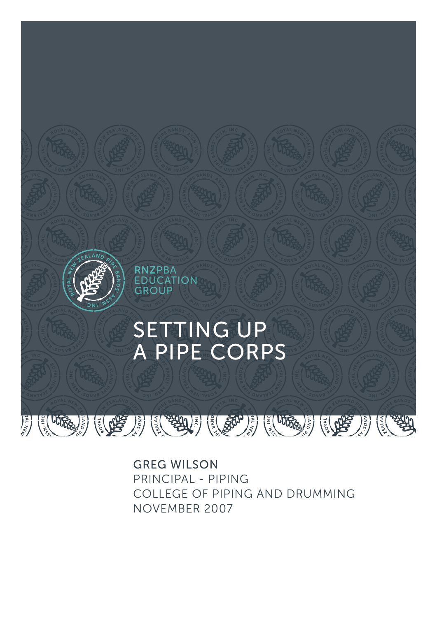

GREG WILSON PRINCIPAL - PIPING COLLEGE OF PIPING AND DRUMMING NOVEMBER 2007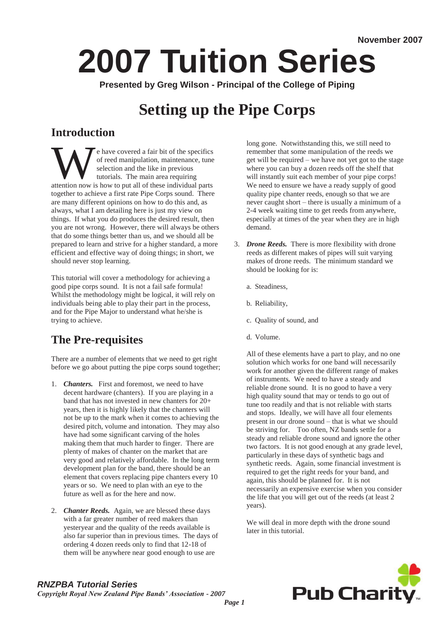# **2007 Tuition Series**

**Presented by Greg Wilson - Principal of the College of Piping** 

## **Setting up the Pipe Corps**

## **Introduction**

Example 1 a fair bit of the specifics of reed manipulation, maintenance, tune selection and the like in previous tutorials. The main area requiring attention now is how to put all of these individual parts of reed manipulation, maintenance, tune selection and the like in previous tutorials. The main area requiring together to achieve a first rate Pipe Corps sound. There are many different opinions on how to do this and, as always, what I am detailing here is just my view on things. If what you do produces the desired result, then you are not wrong. However, there will always be others that do some things better than us, and we should all be prepared to learn and strive for a higher standard, a more efficient and effective way of doing things; in short, we should never stop learning.

This tutorial will cover a methodology for achieving a good pipe corps sound. It is not a fail safe formula! Whilst the methodology might be logical, it will rely on individuals being able to play their part in the process, and for the Pipe Major to understand what he/she is trying to achieve.

## **The Pre-requisites**

There are a number of elements that we need to get right before we go about putting the pipe corps sound together;

- 1. *Chanters.* First and foremost, we need to have decent hardware (chanters). If you are playing in a band that has not invested in new chanters for 20+ years, then it is highly likely that the chanters will not be up to the mark when it comes to achieving the desired pitch, volume and intonation. They may also have had some significant carving of the holes making them that much harder to finger. There are plenty of makes of chanter on the market that are very good and relatively affordable. In the long term development plan for the band, there should be an element that covers replacing pipe chanters every 10 years or so. We need to plan with an eye to the future as well as for the here and now.
- 2. *Chanter Reeds.* Again, we are blessed these days with a far greater number of reed makers than yesteryear and the quality of the reeds available is also far superior than in previous times. The days of ordering 4 dozen reeds only to find that 12-18 of them will be anywhere near good enough to use are

long gone. Notwithstanding this, we still need to remember that some manipulation of the reeds we get will be required – we have not yet got to the stage where you can buy a dozen reeds off the shelf that will instantly suit each member of your pipe corps! We need to ensure we have a ready supply of good quality pipe chanter reeds, enough so that we are never caught short – there is usually a minimum of a 2-4 week waiting time to get reeds from anywhere, especially at times of the year when they are in high demand.

- 3. *Drone Reeds.* There is more flexibility with drone reeds as different makes of pipes will suit varying makes of drone reeds. The minimum standard we should be looking for is:
	- a. Steadiness,
	- b. Reliability,
	- c. Quality of sound, and
	- d. Volume.

All of these elements have a part to play, and no one solution which works for one band will necessarily work for another given the different range of makes of instruments. We need to have a steady and reliable drone sound. It is no good to have a very high quality sound that may or tends to go out of tune too readily and that is not reliable with starts and stops. Ideally, we will have all four elements present in our drone sound – that is what we should be striving for. Too often, NZ bands settle for a steady and reliable drone sound and ignore the other two factors. It is not good enough at any grade level, particularly in these days of synthetic bags and synthetic reeds. Again, some financial investment is required to get the right reeds for your band, and again, this should be planned for. It is not necessarily an expensive exercise when you consider the life that you will get out of the reeds (at least 2 years).

We will deal in more depth with the drone sound later in this tutorial.



## *RNZPBA Tutorial Series*

*Copyright Royal New Zealand Pipe Bands' Association - 2007*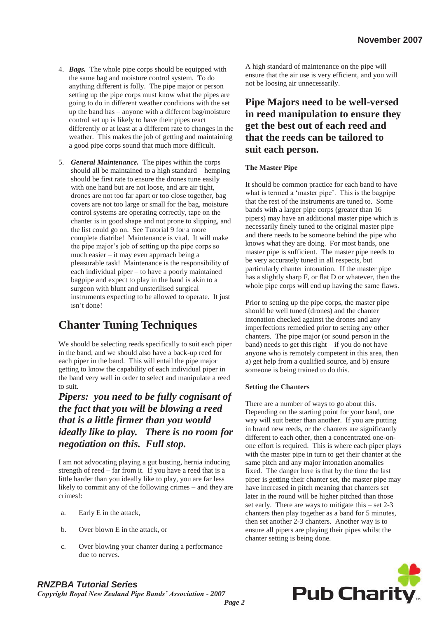- 4. *Bags.* The whole pipe corps should be equipped with the same bag and moisture control system. To do anything different is folly. The pipe major or person setting up the pipe corps must know what the pipes are going to do in different weather conditions with the set up the band has – anyone with a different bag/moisture control set up is likely to have their pipes react differently or at least at a different rate to changes in the weather. This makes the job of getting and maintaining a good pipe corps sound that much more difficult.
- 5. *General Maintenance.* The pipes within the corps should all be maintained to a high standard – hemping should be first rate to ensure the drones tune easily with one hand but are not loose, and are air tight, drones are not too far apart or too close together, bag covers are not too large or small for the bag, moisture control systems are operating correctly, tape on the chanter is in good shape and not prone to slipping, and the list could go on. See Tutorial 9 for a more complete diatribe! Maintenance is vital. It will make the pipe major's job of setting up the pipe corps so much easier – it may even approach being a pleasurable task! Maintenance is the responsibility of each individual piper – to have a poorly maintained bagpipe and expect to play in the band is akin to a surgeon with blunt and unsterilised surgical instruments expecting to be allowed to operate. It just isn't done!

## **Chanter Tuning Techniques**

We should be selecting reeds specifically to suit each piper in the band, and we should also have a back-up reed for each piper in the band. This will entail the pipe major getting to know the capability of each individual piper in the band very well in order to select and manipulate a reed to suit.

*Pipers: you need to be fully cognisant of the fact that you will be blowing a reed that is a little firmer than you would ideally like to play. There is no room for negotiation on this. Full stop.*

I am not advocating playing a gut busting, hernia inducing strength of reed – far from it. If you have a reed that is a little harder than you ideally like to play, you are far less likely to commit any of the following crimes – and they are crimes!:

- a. Early E in the attack,
- b. Over blown E in the attack, or
- c. Over blowing your chanter during a performance due to nerves.

A high standard of maintenance on the pipe will ensure that the air use is very efficient, and you will not be loosing air unnecessarily.

### **Pipe Majors need to be well-versed in reed manipulation to ensure they get the best out of each reed and that the reeds can be tailored to suit each person.**

#### **The Master Pipe**

It should be common practice for each band to have what is termed a 'master pipe'. This is the bagpipe that the rest of the instruments are tuned to. Some bands with a larger pipe corps (greater than 16 pipers) may have an additional master pipe which is necessarily finely tuned to the original master pipe and there needs to be someone behind the pipe who knows what they are doing. For most bands, one master pipe is sufficient. The master pipe needs to be very accurately tuned in all respects, but particularly chanter intonation. If the master pipe has a slightly sharp F, or flat D or whatever, then the whole pipe corps will end up having the same flaws.

Prior to setting up the pipe corps, the master pipe should be well tuned (drones) and the chanter intonation checked against the drones and any imperfections remedied prior to setting any other chanters. The pipe major (or sound person in the band) needs to get this right – if you do not have anyone who is remotely competent in this area, then a) get help from a qualified source, and b) ensure someone is being trained to do this.

#### **Setting the Chanters**

There are a number of ways to go about this. Depending on the starting point for your band, one way will suit better than another. If you are putting in brand new reeds, or the chanters are significantly different to each other, then a concentrated one-onone effort is required. This is where each piper plays with the master pipe in turn to get their chanter at the same pitch and any major intonation anomalies fixed. The danger here is that by the time the last piper is getting their chanter set, the master pipe may have increased in pitch meaning that chanters set later in the round will be higher pitched than those set early. There are ways to mitigate this – set 2-3 chanters then play together as a band for 5 minutes, then set another 2-3 chanters. Another way is to ensure all pipers are playing their pipes whilst the chanter setting is being done.



## *RNZPBA Tutorial Series*

*Copyright Royal New Zealand Pipe Bands' Association - 2007*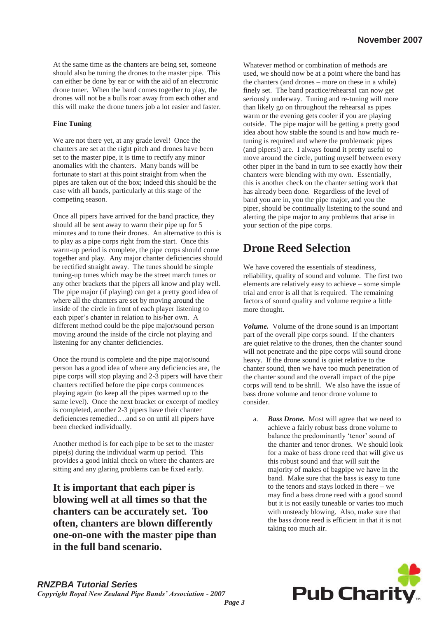At the same time as the chanters are being set, someone should also be tuning the drones to the master pipe. This can either be done by ear or with the aid of an electronic drone tuner. When the band comes together to play, the drones will not be a bulls roar away from each other and this will make the drone tuners job a lot easier and faster.

#### **Fine Tuning**

We are not there yet, at any grade level! Once the chanters are set at the right pitch and drones have been set to the master pipe, it is time to rectify any minor anomalies with the chanters. Many bands will be fortunate to start at this point straight from when the pipes are taken out of the box; indeed this should be the case with all bands, particularly at this stage of the competing season.

Once all pipers have arrived for the band practice, they should all be sent away to warm their pipe up for 5 minutes and to tune their drones. An alternative to this is to play as a pipe corps right from the start. Once this warm-up period is complete, the pipe corps should come together and play. Any major chanter deficiencies should be rectified straight away. The tunes should be simple tuning-up tunes which may be the street march tunes or any other brackets that the pipers all know and play well. The pipe major (if playing) can get a pretty good idea of where all the chanters are set by moving around the inside of the circle in front of each player listening to each piper's chanter in relation to his/her own. A different method could be the pipe major/sound person moving around the inside of the circle not playing and listening for any chanter deficiencies.

Once the round is complete and the pipe major/sound person has a good idea of where any deficiencies are, the pipe corps will stop playing and 2-3 pipers will have their chanters rectified before the pipe corps commences playing again (to keep all the pipes warmed up to the same level). Once the next bracket or excerpt of medley is completed, another 2-3 pipers have their chanter deficiencies remedied….and so on until all pipers have been checked individually.

Another method is for each pipe to be set to the master pipe(s) during the individual warm up period. This provides a good initial check on where the chanters are sitting and any glaring problems can be fixed early.

**It is important that each piper is blowing well at all times so that the chanters can be accurately set. Too often, chanters are blown differently one-on-one with the master pipe than in the full band scenario.**

Whatever method or combination of methods are used, we should now be at a point where the band has the chanters (and drones – more on these in a while) finely set. The band practice/rehearsal can now get seriously underway. Tuning and re-tuning will more than likely go on throughout the rehearsal as pipes warm or the evening gets cooler if you are playing outside. The pipe major will be getting a pretty good idea about how stable the sound is and how much retuning is required and where the problematic pipes (and pipers!) are. I always found it pretty useful to move around the circle, putting myself between every other piper in the band in turn to see exactly how their chanters were blending with my own. Essentially, this is another check on the chanter setting work that has already been done. Regardless of the level of band you are in, you the pipe major, and you the piper, should be continually listening to the sound and alerting the pipe major to any problems that arise in your section of the pipe corps.

## **Drone Reed Selection**

We have covered the essentials of steadiness, reliability, quality of sound and volume. The first two elements are relatively easy to achieve – some simple trial and error is all that is required. The remaining factors of sound quality and volume require a little more thought.

*Volume.* Volume of the drone sound is an important part of the overall pipe corps sound. If the chanters are quiet relative to the drones, then the chanter sound will not penetrate and the pipe corps will sound drone heavy. If the drone sound is quiet relative to the chanter sound, then we have too much penetration of the chanter sound and the overall impact of the pipe corps will tend to be shrill. We also have the issue of bass drone volume and tenor drone volume to consider.

a. *Bass Drone.* Most will agree that we need to achieve a fairly robust bass drone volume to balance the predominantly 'tenor' sound of the chanter and tenor drones. We should look for a make of bass drone reed that will give us this robust sound and that will suit the majority of makes of bagpipe we have in the band. Make sure that the bass is easy to tune to the tenors and stays locked in there – we may find a bass drone reed with a good sound but it is not easily tuneable or varies too much with unsteady blowing. Also, make sure that the bass drone reed is efficient in that it is not taking too much air.

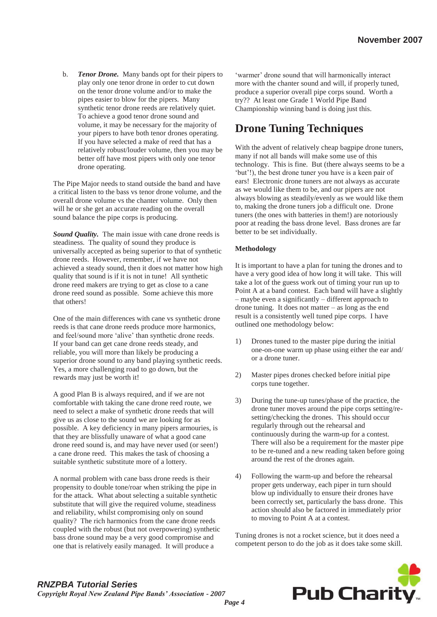b. *Tenor Drone.* Many bands opt for their pipers to play only one tenor drone in order to cut down on the tenor drone volume and/or to make the pipes easier to blow for the pipers. Many synthetic tenor drone reeds are relatively quiet. To achieve a good tenor drone sound and volume, it may be necessary for the majority of your pipers to have both tenor drones operating. If you have selected a make of reed that has a relatively robust/louder volume, then you may be better off have most pipers with only one tenor drone operating.

The Pipe Major needs to stand outside the band and have a critical listen to the bass vs tenor drone volume, and the overall drone volume vs the chanter volume. Only then will he or she get an accurate reading on the overall sound balance the pipe corps is producing.

*Sound Quality.* The main issue with cane drone reeds is steadiness. The quality of sound they produce is universally accepted as being superior to that of synthetic drone reeds. However, remember, if we have not achieved a steady sound, then it does not matter how high quality that sound is if it is not in tune! All synthetic drone reed makers are trying to get as close to a cane drone reed sound as possible. Some achieve this more that others!

One of the main differences with cane vs synthetic drone reeds is that cane drone reeds produce more harmonics, and feel/sound more 'alive' than synthetic drone reeds. If your band can get cane drone reeds steady, and reliable, you will more than likely be producing a superior drone sound to any band playing synthetic reeds. Yes, a more challenging road to go down, but the rewards may just be worth it!

A good Plan B is always required, and if we are not comfortable with taking the cane drone reed route, we need to select a make of synthetic drone reeds that will give us as close to the sound we are looking for as possible. A key deficiency in many pipers armouries, is that they are blissfully unaware of what a good cane drone reed sound is, and may have never used (or seen!) a cane drone reed. This makes the task of choosing a suitable synthetic substitute more of a lottery.

A normal problem with cane bass drone reeds is their propensity to double tone/roar when striking the pipe in for the attack. What about selecting a suitable synthetic substitute that will give the required volume, steadiness and reliability, whilst compromising only on sound quality? The rich harmonics from the cane drone reeds coupled with the robust (but not overpowering) synthetic bass drone sound may be a very good compromise and one that is relatively easily managed. It will produce a

'warmer' drone sound that will harmonically interact more with the chanter sound and will, if properly tuned, produce a superior overall pipe corps sound. Worth a try?? At least one Grade 1 World Pipe Band Championship winning band is doing just this.

## **Drone Tuning Techniques**

With the advent of relatively cheap bagpipe drone tuners, many if not all bands will make some use of this technology. This is fine. But (there always seems to be a 'but'!), the best drone tuner you have is a keen pair of ears! Electronic drone tuners are not always as accurate as we would like them to be, and our pipers are not always blowing as steadily/evenly as we would like them to, making the drone tuners job a difficult one. Drone tuners (the ones with batteries in them!) are notoriously poor at reading the bass drone level. Bass drones are far better to be set individually.

#### **Methodology**

It is important to have a plan for tuning the drones and to have a very good idea of how long it will take. This will take a lot of the guess work out of timing your run up to Point A at a band contest. Each band will have a slightly – maybe even a significantly – different approach to drone tuning. It does not matter – as long as the end result is a consistently well tuned pipe corps. I have outlined one methodology below:

- 1) Drones tuned to the master pipe during the initial one-on-one warm up phase using either the ear and/ or a drone tuner.
- 2) Master pipes drones checked before initial pipe corps tune together.
- 3) During the tune-up tunes/phase of the practice, the drone tuner moves around the pipe corps setting/resetting/checking the drones. This should occur regularly through out the rehearsal and continuously during the warm-up for a contest. There will also be a requirement for the master pipe to be re-tuned and a new reading taken before going around the rest of the drones again.
- 4) Following the warm-up and before the rehearsal proper gets underway, each piper in turn should blow up individually to ensure their drones have been correctly set, particularly the bass drone. This action should also be factored in immediately prior to moving to Point A at a contest.

Tuning drones is not a rocket science, but it does need a competent person to do the job as it does take some skill.



#### *RNZPBA Tutorial Series Copyright Royal New Zealand Pipe Bands' Association - 2007*